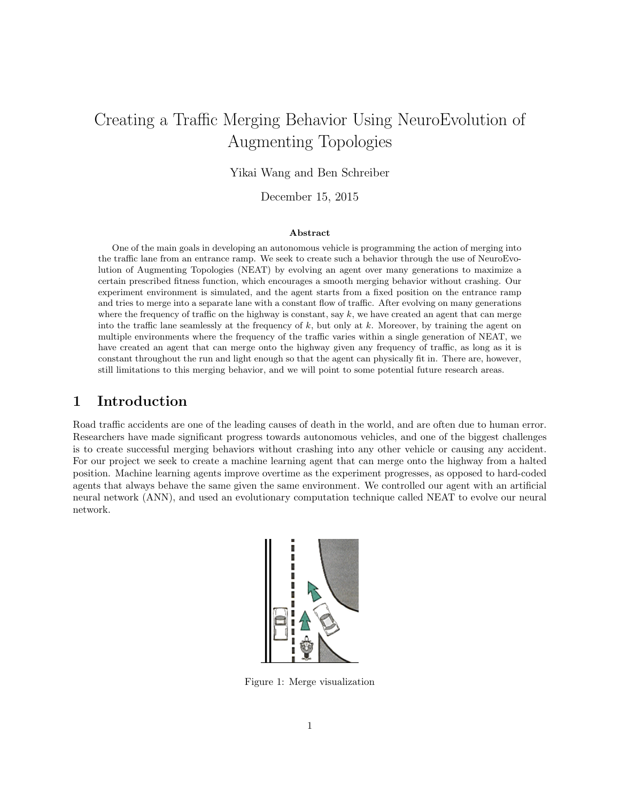# Creating a Traffic Merging Behavior Using NeuroEvolution of Augmenting Topologies

Yikai Wang and Ben Schreiber

December 15, 2015

#### Abstract

One of the main goals in developing an autonomous vehicle is programming the action of merging into the traffic lane from an entrance ramp. We seek to create such a behavior through the use of NeuroEvolution of Augmenting Topologies (NEAT) by evolving an agent over many generations to maximize a certain prescribed fitness function, which encourages a smooth merging behavior without crashing. Our experiment environment is simulated, and the agent starts from a fixed position on the entrance ramp and tries to merge into a separate lane with a constant flow of traffic. After evolving on many generations where the frequency of traffic on the highway is constant, say  $k$ , we have created an agent that can merge into the traffic lane seamlessly at the frequency of  $k$ , but only at  $k$ . Moreover, by training the agent on multiple environments where the frequency of the traffic varies within a single generation of NEAT, we have created an agent that can merge onto the highway given any frequency of traffic, as long as it is constant throughout the run and light enough so that the agent can physically fit in. There are, however, still limitations to this merging behavior, and we will point to some potential future research areas.

### 1 Introduction

Road traffic accidents are one of the leading causes of death in the world, and are often due to human error. Researchers have made significant progress towards autonomous vehicles, and one of the biggest challenges is to create successful merging behaviors without crashing into any other vehicle or causing any accident. For our project we seek to create a machine learning agent that can merge onto the highway from a halted position. Machine learning agents improve overtime as the experiment progresses, as opposed to hard-coded agents that always behave the same given the same environment. We controlled our agent with an artificial neural network (ANN), and used an evolutionary computation technique called NEAT to evolve our neural network.



Figure 1: Merge visualization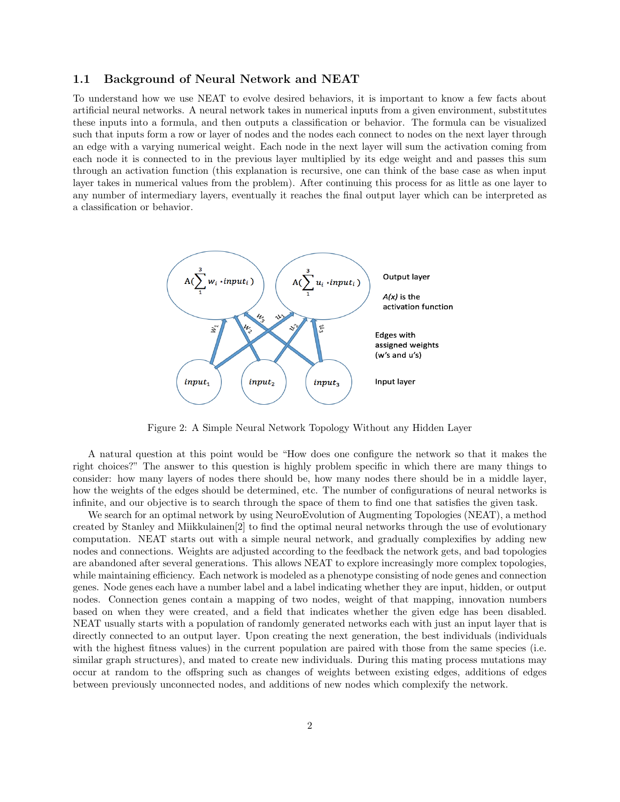#### 1.1 Background of Neural Network and NEAT

To understand how we use NEAT to evolve desired behaviors, it is important to know a few facts about artificial neural networks. A neural network takes in numerical inputs from a given environment, substitutes these inputs into a formula, and then outputs a classification or behavior. The formula can be visualized such that inputs form a row or layer of nodes and the nodes each connect to nodes on the next layer through an edge with a varying numerical weight. Each node in the next layer will sum the activation coming from each node it is connected to in the previous layer multiplied by its edge weight and and passes this sum through an activation function (this explanation is recursive, one can think of the base case as when input layer takes in numerical values from the problem). After continuing this process for as little as one layer to any number of intermediary layers, eventually it reaches the final output layer which can be interpreted as a classification or behavior.



Figure 2: A Simple Neural Network Topology Without any Hidden Layer

A natural question at this point would be "How does one configure the network so that it makes the right choices?" The answer to this question is highly problem specific in which there are many things to consider: how many layers of nodes there should be, how many nodes there should be in a middle layer, how the weights of the edges should be determined, etc. The number of configurations of neural networks is infinite, and our objective is to search through the space of them to find one that satisfies the given task.

We search for an optimal network by using NeuroEvolution of Augmenting Topologies (NEAT), a method created by Stanley and Miikkulainen[2] to find the optimal neural networks through the use of evolutionary computation. NEAT starts out with a simple neural network, and gradually complexifies by adding new nodes and connections. Weights are adjusted according to the feedback the network gets, and bad topologies are abandoned after several generations. This allows NEAT to explore increasingly more complex topologies, while maintaining efficiency. Each network is modeled as a phenotype consisting of node genes and connection genes. Node genes each have a number label and a label indicating whether they are input, hidden, or output nodes. Connection genes contain a mapping of two nodes, weight of that mapping, innovation numbers based on when they were created, and a field that indicates whether the given edge has been disabled. NEAT usually starts with a population of randomly generated networks each with just an input layer that is directly connected to an output layer. Upon creating the next generation, the best individuals (individuals with the highest fitness values) in the current population are paired with those from the same species (i.e. similar graph structures), and mated to create new individuals. During this mating process mutations may occur at random to the offspring such as changes of weights between existing edges, additions of edges between previously unconnected nodes, and additions of new nodes which complexify the network.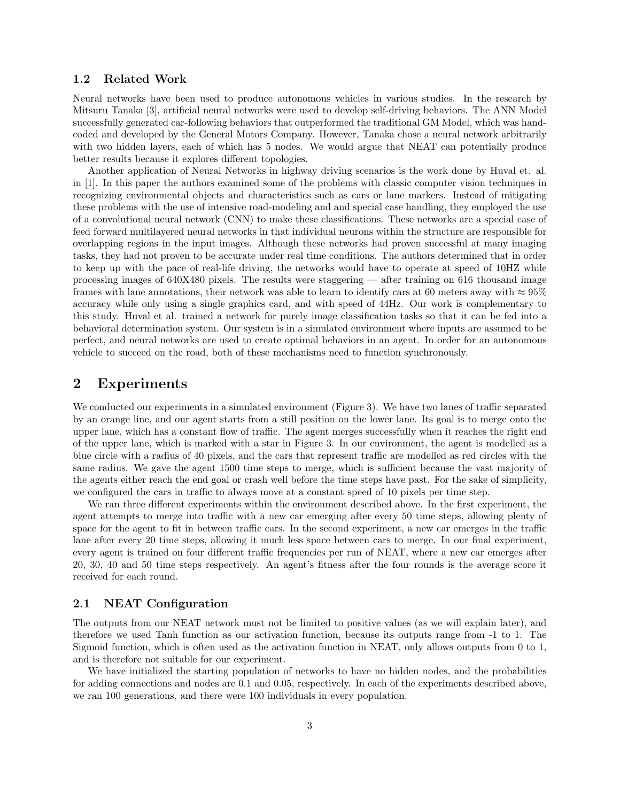#### 1.2 Related Work

Neural networks have been used to produce autonomous vehicles in various studies. In the research by Mitsuru Tanaka [3], artificial neural networks were used to develop self-driving behaviors. The ANN Model successfully generated car-following behaviors that outperformed the traditional GM Model, which was handcoded and developed by the General Motors Company. However, Tanaka chose a neural network arbitrarily with two hidden layers, each of which has 5 nodes. We would argue that NEAT can potentially produce better results because it explores different topologies.

Another application of Neural Networks in highway driving scenarios is the work done by Huval et. al. in [1]. In this paper the authors examined some of the problems with classic computer vision techniques in recognizing environmental objects and characteristics such as cars or lane markers. Instead of mitigating these problems with the use of intensive road-modeling and and special case handling, they employed the use of a convolutional neural network (CNN) to make these classifications. These networks are a special case of feed forward multilayered neural networks in that individual neurons within the structure are responsible for overlapping regions in the input images. Although these networks had proven successful at many imaging tasks, they had not proven to be accurate under real time conditions. The authors determined that in order to keep up with the pace of real-life driving, the networks would have to operate at speed of 10HZ while processing images of 640X480 pixels. The results were staggering — after training on 616 thousand image frames with lane annotations, their network was able to learn to identify cars at 60 meters away with  $\approx 95\%$ accuracy while only using a single graphics card, and with speed of 44Hz. Our work is complementary to this study. Huval et al. trained a network for purely image classification tasks so that it can be fed into a behavioral determination system. Our system is in a simulated environment where inputs are assumed to be perfect, and neural networks are used to create optimal behaviors in an agent. In order for an autonomous vehicle to succeed on the road, both of these mechanisms need to function synchronously.

# 2 Experiments

We conducted our experiments in a simulated environment (Figure 3). We have two lanes of traffic separated by an orange line, and our agent starts from a still position on the lower lane. Its goal is to merge onto the upper lane, which has a constant flow of traffic. The agent merges successfully when it reaches the right end of the upper lane, which is marked with a star in Figure 3. In our environment, the agent is modelled as a blue circle with a radius of 40 pixels, and the cars that represent traffic are modelled as red circles with the same radius. We gave the agent 1500 time steps to merge, which is sufficient because the vast majority of the agents either reach the end goal or crash well before the time steps have past. For the sake of simplicity, we configured the cars in traffic to always move at a constant speed of 10 pixels per time step.

We ran three different experiments within the environment described above. In the first experiment, the agent attempts to merge into traffic with a new car emerging after every 50 time steps, allowing plenty of space for the agent to fit in between traffic cars. In the second experiment, a new car emerges in the traffic lane after every 20 time steps, allowing it much less space between cars to merge. In our final experiment, every agent is trained on four different traffic frequencies per run of NEAT, where a new car emerges after 20, 30, 40 and 50 time steps respectively. An agent's fitness after the four rounds is the average score it received for each round.

#### 2.1 NEAT Configuration

The outputs from our NEAT network must not be limited to positive values (as we will explain later), and therefore we used Tanh function as our activation function, because its outputs range from -1 to 1. The Sigmoid function, which is often used as the activation function in NEAT, only allows outputs from 0 to 1, and is therefore not suitable for our experiment.

We have initialized the starting population of networks to have no hidden nodes, and the probabilities for adding connections and nodes are 0.1 and 0.05, respectively. In each of the experiments described above, we ran 100 generations, and there were 100 individuals in every population.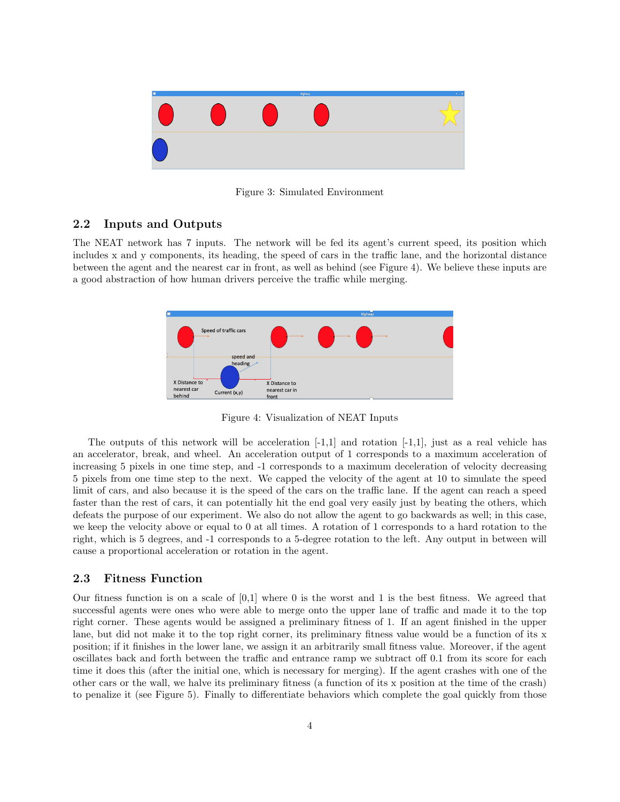

Figure 3: Simulated Environment

#### 2.2 Inputs and Outputs

The NEAT network has 7 inputs. The network will be fed its agent's current speed, its position which includes x and y components, its heading, the speed of cars in the traffic lane, and the horizontal distance between the agent and the nearest car in front, as well as behind (see Figure 4). We believe these inputs are a good abstraction of how human drivers perceive the traffic while merging.



Figure 4: Visualization of NEAT Inputs

The outputs of this network will be acceleration  $[-1,1]$  and rotation  $[-1,1]$ , just as a real vehicle has an accelerator, break, and wheel. An acceleration output of 1 corresponds to a maximum acceleration of increasing 5 pixels in one time step, and -1 corresponds to a maximum deceleration of velocity decreasing 5 pixels from one time step to the next. We capped the velocity of the agent at 10 to simulate the speed limit of cars, and also because it is the speed of the cars on the traffic lane. If the agent can reach a speed faster than the rest of cars, it can potentially hit the end goal very easily just by beating the others, which defeats the purpose of our experiment. We also do not allow the agent to go backwards as well; in this case, we keep the velocity above or equal to 0 at all times. A rotation of 1 corresponds to a hard rotation to the right, which is 5 degrees, and -1 corresponds to a 5-degree rotation to the left. Any output in between will cause a proportional acceleration or rotation in the agent.

#### 2.3 Fitness Function

Our fitness function is on a scale of  $[0,1]$  where 0 is the worst and 1 is the best fitness. We agreed that successful agents were ones who were able to merge onto the upper lane of traffic and made it to the top right corner. These agents would be assigned a preliminary fitness of 1. If an agent finished in the upper lane, but did not make it to the top right corner, its preliminary fitness value would be a function of its x position; if it finishes in the lower lane, we assign it an arbitrarily small fitness value. Moreover, if the agent oscillates back and forth between the traffic and entrance ramp we subtract off 0.1 from its score for each time it does this (after the initial one, which is necessary for merging). If the agent crashes with one of the other cars or the wall, we halve its preliminary fitness (a function of its x position at the time of the crash) to penalize it (see Figure 5). Finally to differentiate behaviors which complete the goal quickly from those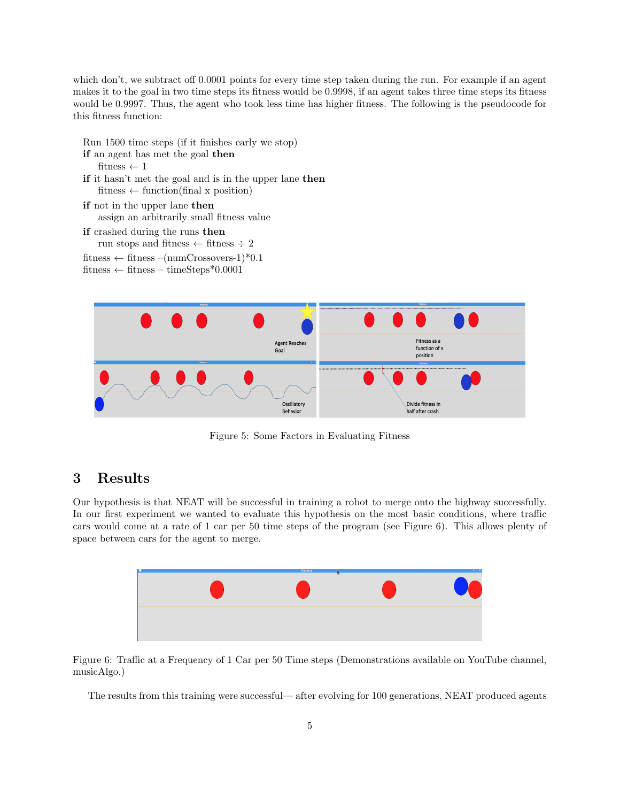which don't, we subtract off 0.0001 points for every time step taken during the run. For example if an agent makes it to the goal in two time steps its fitness would be 0.9998, if an agent takes three time steps its fitness would be 0.9997. Thus, the agent who took less time has higher fitness. The following is the pseudocode for this fitness function:

```
Run 1500 time steps (if it finishes early we stop)
if an agent has met the goal then
   fitness \leftarrow 1if it hasn't met the goal and is in the upper lane then
   fitness \leftarrow function(final x position)
if not in the upper lane then
   assign an arbitrarily small fitness value
if crashed during the runs then
   run stops and fitness \div fitness \div 2
fitness \leftarrow fitness –(numCrossovers-1)*0.1
fitness \leftarrow fitness – timeSteps*0.0001
```


Figure 5: Some Factors in Evaluating Fitness

# 3 Results

Our hypothesis is that NEAT will be successful in training a robot to merge onto the highway successfully. In our first experiment we wanted to evaluate this hypothesis on the most basic conditions, where traffic cars would come at a rate of 1 car per 50 time steps of the program (see Figure 6). This allows plenty of space between cars for the agent to merge.



Figure 6: Traffic at a Frequency of 1 Car per 50 Time steps (Demonstrations available on YouTube channel, musicAlgo.)

The results from this training were successful— after evolving for 100 generations, NEAT produced agents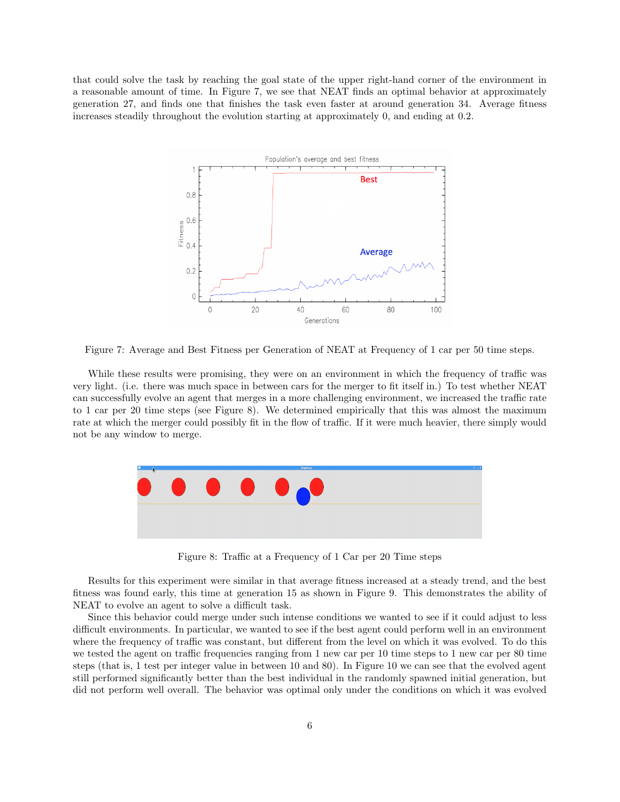that could solve the task by reaching the goal state of the upper right-hand corner of the environment in a reasonable amount of time. In Figure 7, we see that NEAT finds an optimal behavior at approximately generation 27, and finds one that finishes the task even faster at around generation 34. Average fitness increases steadily throughout the evolution starting at approximately 0, and ending at 0.2.



Figure 7: Average and Best Fitness per Generation of NEAT at Frequency of 1 car per 50 time steps.

While these results were promising, they were on an environment in which the frequency of traffic was very light. (i.e. there was much space in between cars for the merger to fit itself in.) To test whether NEAT can successfully evolve an agent that merges in a more challenging environment, we increased the traffic rate to 1 car per 20 time steps (see Figure 8). We determined empirically that this was almost the maximum rate at which the merger could possibly fit in the flow of traffic. If it were much heavier, there simply would not be any window to merge.



Figure 8: Traffic at a Frequency of 1 Car per 20 Time steps

Results for this experiment were similar in that average fitness increased at a steady trend, and the best fitness was found early, this time at generation 15 as shown in Figure 9. This demonstrates the ability of NEAT to evolve an agent to solve a difficult task.

Since this behavior could merge under such intense conditions we wanted to see if it could adjust to less difficult environments. In particular, we wanted to see if the best agent could perform well in an environment where the frequency of traffic was constant, but different from the level on which it was evolved. To do this we tested the agent on traffic frequencies ranging from 1 new car per 10 time steps to 1 new car per 80 time steps (that is, 1 test per integer value in between 10 and 80). In Figure 10 we can see that the evolved agent still performed significantly better than the best individual in the randomly spawned initial generation, but did not perform well overall. The behavior was optimal only under the conditions on which it was evolved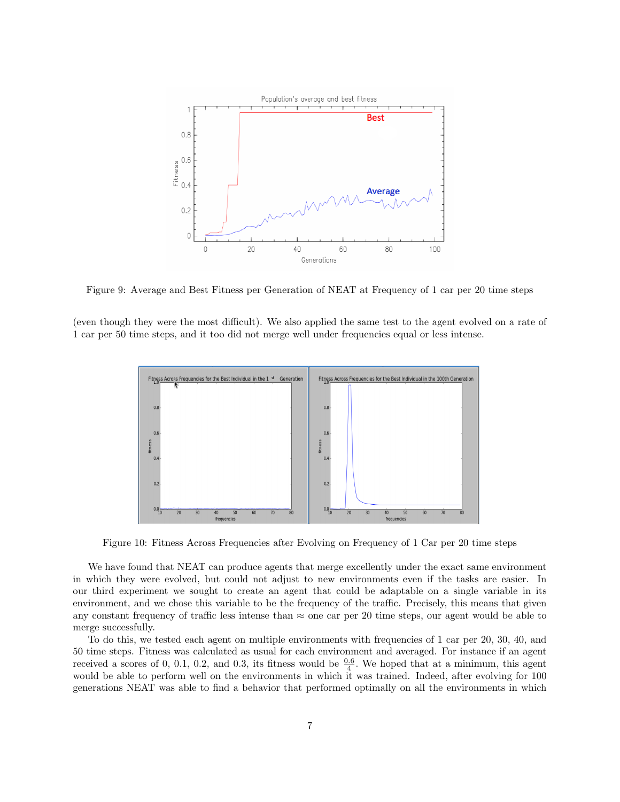

Figure 9: Average and Best Fitness per Generation of NEAT at Frequency of 1 car per 20 time steps

(even though they were the most difficult). We also applied the same test to the agent evolved on a rate of 1 car per 50 time steps, and it too did not merge well under frequencies equal or less intense.



Figure 10: Fitness Across Frequencies after Evolving on Frequency of 1 Car per 20 time steps

We have found that NEAT can produce agents that merge excellently under the exact same environment in which they were evolved, but could not adjust to new environments even if the tasks are easier. In our third experiment we sought to create an agent that could be adaptable on a single variable in its environment, and we chose this variable to be the frequency of the traffic. Precisely, this means that given any constant frequency of traffic less intense than  $\approx$  one car per 20 time steps, our agent would be able to merge successfully.

To do this, we tested each agent on multiple environments with frequencies of 1 car per 20, 30, 40, and 50 time steps. Fitness was calculated as usual for each environment and averaged. For instance if an agent received a scores of 0, 0.1, 0.2, and 0.3, its fitness would be  $\frac{0.6}{4}$ . We hoped that at a minimum, this agent would be able to perform well on the environments in which it was trained. Indeed, after evolving for 100 generations NEAT was able to find a behavior that performed optimally on all the environments in which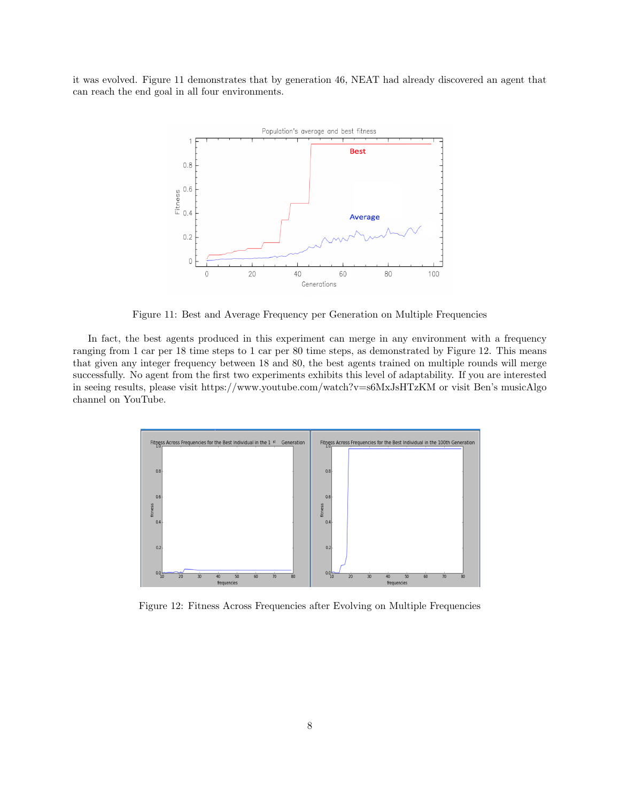it was evolved. Figure 11 demonstrates that by generation 46, NEAT had already discovered an agent that can reach the end goal in all four environments.



Figure 11: Best and Average Frequency per Generation on Multiple Frequencies

In fact, the best agents produced in this experiment can merge in any environment with a frequency ranging from 1 car per 18 time steps to 1 car per 80 time steps, as demonstrated by Figure 12. This means that given any integer frequency between 18 and 80, the best agents trained on multiple rounds will merge successfully. No agent from the first two experiments exhibits this level of adaptability. If you are interested in seeing results, please visit https://www.youtube.com/watch?v=s6MxJsHTzKM or visit Ben's musicAlgo channel on YouTube.



Figure 12: Fitness Across Frequencies after Evolving on Multiple Frequencies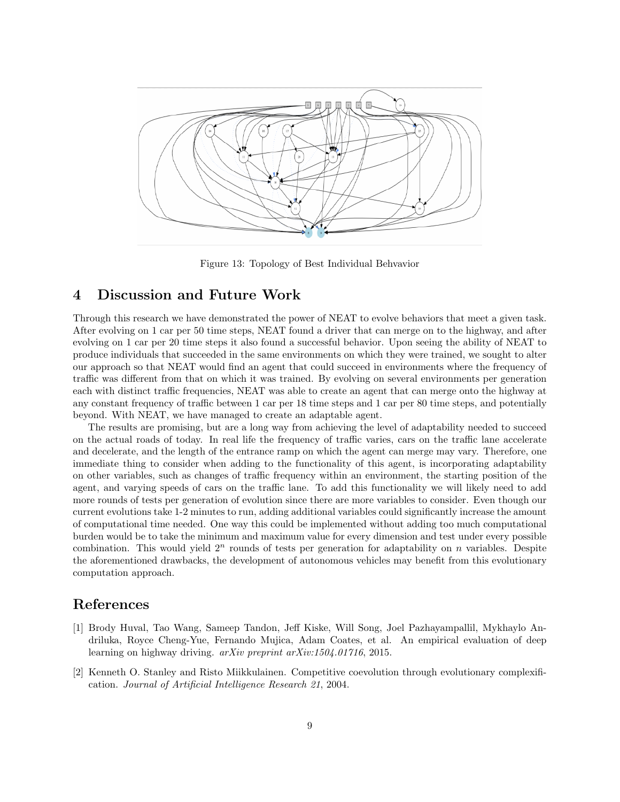

Figure 13: Topology of Best Individual Behvavior

# 4 Discussion and Future Work

Through this research we have demonstrated the power of NEAT to evolve behaviors that meet a given task. After evolving on 1 car per 50 time steps, NEAT found a driver that can merge on to the highway, and after evolving on 1 car per 20 time steps it also found a successful behavior. Upon seeing the ability of NEAT to produce individuals that succeeded in the same environments on which they were trained, we sought to alter our approach so that NEAT would find an agent that could succeed in environments where the frequency of traffic was different from that on which it was trained. By evolving on several environments per generation each with distinct traffic frequencies, NEAT was able to create an agent that can merge onto the highway at any constant frequency of traffic between 1 car per 18 time steps and 1 car per 80 time steps, and potentially beyond. With NEAT, we have managed to create an adaptable agent.

The results are promising, but are a long way from achieving the level of adaptability needed to succeed on the actual roads of today. In real life the frequency of traffic varies, cars on the traffic lane accelerate and decelerate, and the length of the entrance ramp on which the agent can merge may vary. Therefore, one immediate thing to consider when adding to the functionality of this agent, is incorporating adaptability on other variables, such as changes of traffic frequency within an environment, the starting position of the agent, and varying speeds of cars on the traffic lane. To add this functionality we will likely need to add more rounds of tests per generation of evolution since there are more variables to consider. Even though our current evolutions take 1-2 minutes to run, adding additional variables could significantly increase the amount of computational time needed. One way this could be implemented without adding too much computational burden would be to take the minimum and maximum value for every dimension and test under every possible combination. This would yield  $2<sup>n</sup>$  rounds of tests per generation for adaptability on n variables. Despite the aforementioned drawbacks, the development of autonomous vehicles may benefit from this evolutionary computation approach.

# References

- [1] Brody Huval, Tao Wang, Sameep Tandon, Jeff Kiske, Will Song, Joel Pazhayampallil, Mykhaylo Andriluka, Royce Cheng-Yue, Fernando Mujica, Adam Coates, et al. An empirical evaluation of deep learning on highway driving. arXiv preprint arXiv:1504.01716, 2015.
- [2] Kenneth O. Stanley and Risto Miikkulainen. Competitive coevolution through evolutionary complexification. Journal of Artificial Intelligence Research 21, 2004.